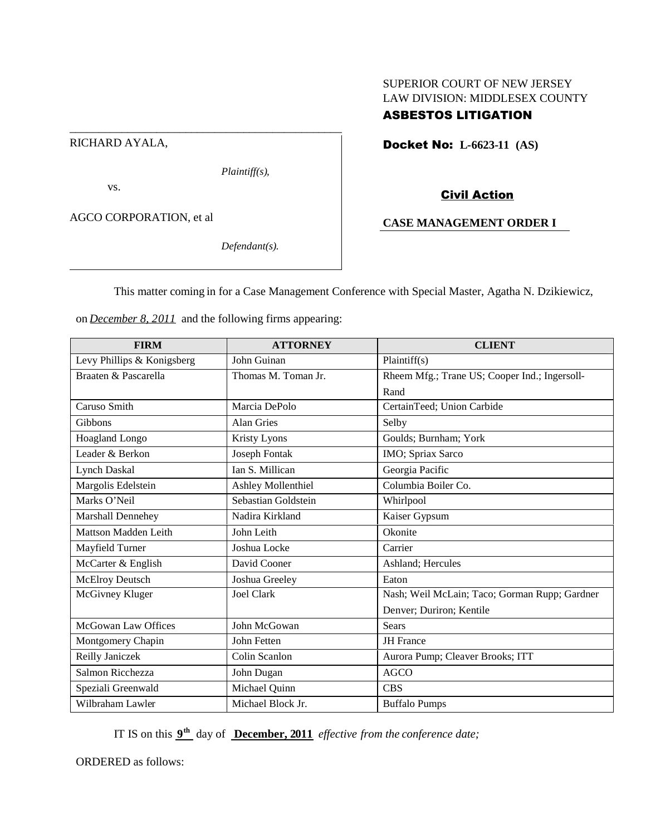# SUPERIOR COURT OF NEW JERSEY LAW DIVISION: MIDDLESEX COUNTY

## ASBESTOS LITIGATION

RICHARD AYALA,

*Plaintiff(s),*

vs.

AGCO CORPORATION, et al

*Defendant(s).*

Docket No: **L-6623-11 (AS)**

Civil Action

## **CASE MANAGEMENT ORDER I**

This matter coming in for a Case Management Conference with Special Master, Agatha N. Dzikiewicz,

on *December 8, 2011* and the following firms appearing:

\_\_\_\_\_\_\_\_\_\_\_\_\_\_\_\_\_\_\_\_\_\_\_\_\_\_\_\_\_\_\_\_\_\_\_\_\_\_\_\_\_\_\_\_\_\_\_

| <b>FIRM</b>                | <b>ATTORNEY</b>     | <b>CLIENT</b>                                 |
|----------------------------|---------------------|-----------------------------------------------|
| Levy Phillips & Konigsberg | John Guinan         | Plaintiff(s)                                  |
| Braaten & Pascarella       | Thomas M. Toman Jr. | Rheem Mfg.; Trane US; Cooper Ind.; Ingersoll- |
|                            |                     | Rand                                          |
| Caruso Smith               | Marcia DePolo       | CertainTeed; Union Carbide                    |
| Gibbons                    | Alan Gries          | Selby                                         |
| Hoagland Longo             | Kristy Lyons        | Goulds; Burnham; York                         |
| Leader & Berkon            | Joseph Fontak       | IMO; Spriax Sarco                             |
| <b>Lynch Daskal</b>        | Ian S. Millican     | Georgia Pacific                               |
| Margolis Edelstein         | Ashley Mollenthiel  | Columbia Boiler Co.                           |
| Marks O'Neil               | Sebastian Goldstein | Whirlpool                                     |
| Marshall Dennehey          | Nadira Kirkland     | Kaiser Gypsum                                 |
| Mattson Madden Leith       | John Leith          | Okonite                                       |
| Mayfield Turner            | Joshua Locke        | Carrier                                       |
| McCarter & English         | David Cooner        | Ashland; Hercules                             |
| <b>McElroy Deutsch</b>     | Joshua Greeley      | Eaton                                         |
| McGivney Kluger            | <b>Joel Clark</b>   | Nash; Weil McLain; Taco; Gorman Rupp; Gardner |
|                            |                     | Denver; Duriron; Kentile                      |
| McGowan Law Offices        | John McGowan        | Sears                                         |
| Montgomery Chapin          | John Fetten         | <b>JH</b> France                              |
| Reilly Janiczek            | Colin Scanlon       | Aurora Pump; Cleaver Brooks; ITT              |
| Salmon Ricchezza           | John Dugan          | <b>AGCO</b>                                   |
| Speziali Greenwald         | Michael Quinn       | <b>CBS</b>                                    |
| Wilbraham Lawler           | Michael Block Jr.   | <b>Buffalo Pumps</b>                          |

IT IS on this  $9^{\text{th}}$  day of **December, 2011** *effective from the conference date*;

ORDERED as follows: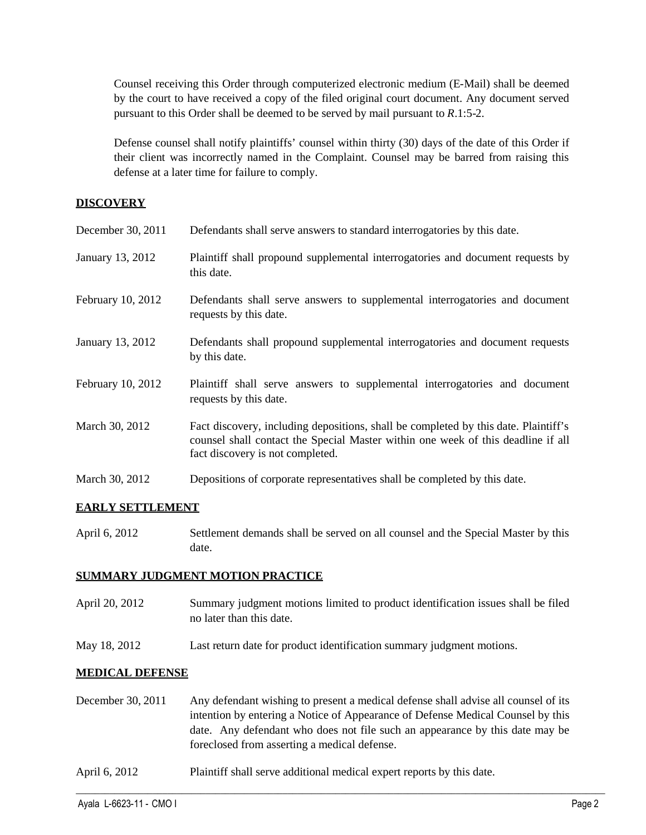Counsel receiving this Order through computerized electronic medium (E-Mail) shall be deemed by the court to have received a copy of the filed original court document. Any document served pursuant to this Order shall be deemed to be served by mail pursuant to *R*.1:5-2.

Defense counsel shall notify plaintiffs' counsel within thirty (30) days of the date of this Order if their client was incorrectly named in the Complaint. Counsel may be barred from raising this defense at a later time for failure to comply.

### **DISCOVERY**

| December 30, 2011 | Defendants shall serve answers to standard interrogatories by this date.                                                                                                                                    |
|-------------------|-------------------------------------------------------------------------------------------------------------------------------------------------------------------------------------------------------------|
| January 13, 2012  | Plaintiff shall propound supplemental interrogatories and document requests by<br>this date.                                                                                                                |
| February 10, 2012 | Defendants shall serve answers to supplemental interrogatories and document<br>requests by this date.                                                                                                       |
| January 13, 2012  | Defendants shall propound supplemental interrogatories and document requests<br>by this date.                                                                                                               |
| February 10, 2012 | Plaintiff shall serve answers to supplemental interrogatories and document<br>requests by this date.                                                                                                        |
| March 30, 2012    | Fact discovery, including depositions, shall be completed by this date. Plaintiff's<br>counsel shall contact the Special Master within one week of this deadline if all<br>fact discovery is not completed. |
| March 30, 2012    | Depositions of corporate representatives shall be completed by this date.                                                                                                                                   |

### **EARLY SETTLEMENT**

April 6, 2012 Settlement demands shall be served on all counsel and the Special Master by this date.

### **SUMMARY JUDGMENT MOTION PRACTICE**

- April 20, 2012 Summary judgment motions limited to product identification issues shall be filed no later than this date.
- May 18, 2012 Last return date for product identification summary judgment motions.

### **MEDICAL DEFENSE**

December 30, 2011 Any defendant wishing to present a medical defense shall advise all counsel of its intention by entering a Notice of Appearance of Defense Medical Counsel by this date. Any defendant who does not file such an appearance by this date may be foreclosed from asserting a medical defense.

 $\_$  ,  $\_$  ,  $\_$  ,  $\_$  ,  $\_$  ,  $\_$  ,  $\_$  ,  $\_$  ,  $\_$  ,  $\_$  ,  $\_$  ,  $\_$  ,  $\_$  ,  $\_$  ,  $\_$  ,  $\_$  ,  $\_$  ,  $\_$  ,  $\_$  ,  $\_$  ,  $\_$  ,  $\_$  ,  $\_$  ,  $\_$  ,  $\_$  ,  $\_$  ,  $\_$  ,  $\_$  ,  $\_$  ,  $\_$  ,  $\_$  ,  $\_$  ,  $\_$  ,  $\_$  ,  $\_$  ,  $\_$  ,  $\_$  ,

April 6, 2012 Plaint iff shall serve additional medical expert reports by this date.